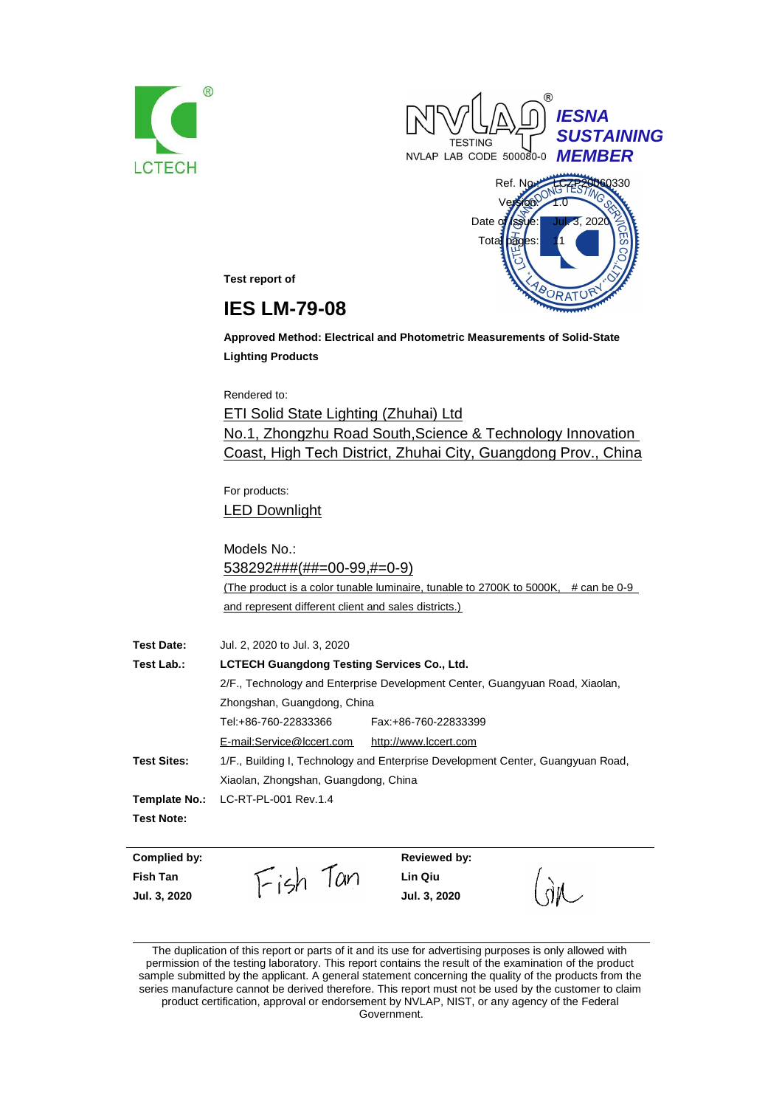





**Test report of**

# **IES LM-79-08**

**Approved Method: Electrical and Photometric Measurements of Solid-State Lighting Products**

Rendered to:

ETI Solid State Lighting (Zhuhai) Ltd No.1, Zhongzhu Road South,Science & Technology Innovation Coast, High Tech District, Zhuhai City, Guangdong Prov., China

For products: LED Downlight

Models No.: 538292###(##=00-99,#=0-9) (The product is a color tunable luminaire, tunable to 2700K to 5000K, # can be 0-9 and represent different client and sales districts.)

| <b>Test Date:</b>  | Jul. 2, 2020 to Jul. 3, 2020                                                    |                       |  |
|--------------------|---------------------------------------------------------------------------------|-----------------------|--|
| Test Lab.:         | <b>LCTECH Guangdong Testing Services Co., Ltd.</b>                              |                       |  |
|                    | 2/F., Technology and Enterprise Development Center, Guangyuan Road, Xiaolan,    |                       |  |
|                    | Zhongshan, Guangdong, China                                                     |                       |  |
|                    | Tel:+86-760-22833366<br>Fax: +86-760-22833399                                   |                       |  |
|                    | E-mail:Service@lccert.com                                                       | http://www.lccert.com |  |
| <b>Test Sites:</b> | 1/F., Building I, Technology and Enterprise Development Center, Guangyuan Road, |                       |  |
|                    | Xiaolan, Zhongshan, Guangdong, China                                            |                       |  |
| Template No.:      | LC-RT-PL-001 Rev.1.4                                                            |                       |  |
| <b>Test Note:</b>  |                                                                                 |                       |  |

**Complied by: Reviewed by:**

**Fish Tan Lin Qiu Jul. 3, 2020 Jul. 3, 2020**

The duplication of this report or parts of it and its use for advertising purposes is only allowed with permission of the testing laboratory. This report contains the result of the examination of the product sample submitted by the applicant. A general statement concerning the quality of the products from the series manufacture cannot be derived therefore. This report must not be used by the customer to claim product certification, approval or endorsement by NVLAP, NIST, or any agency of the Federal Government.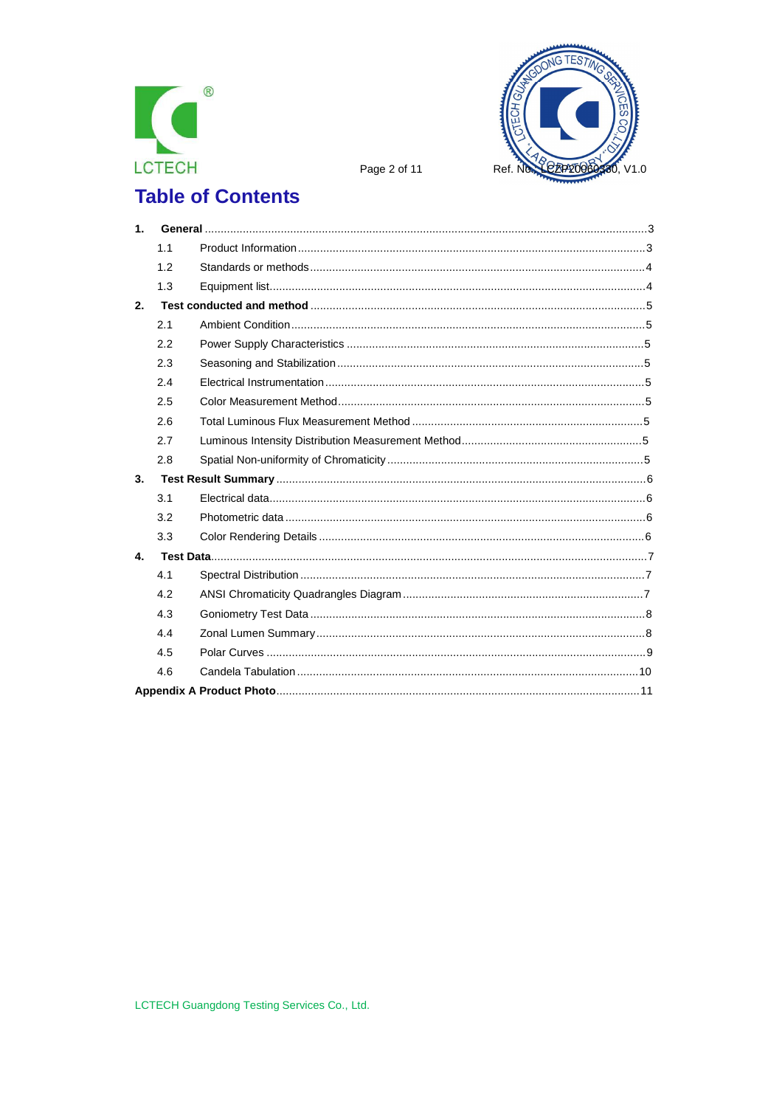



Page 2 of 11

# **Table of Contents**

| 1 <sub>1</sub> |     |  |
|----------------|-----|--|
|                | 1.1 |  |
|                | 1.2 |  |
|                | 1.3 |  |
| 2.             |     |  |
|                | 2.1 |  |
|                | 2.2 |  |
|                | 2.3 |  |
|                | 2.4 |  |
|                | 2.5 |  |
|                | 2.6 |  |
|                | 2.7 |  |
|                | 2.8 |  |
| 3.             |     |  |
|                | 3.1 |  |
|                | 3.2 |  |
|                | 3.3 |  |
| 4.             |     |  |
|                | 4.1 |  |
|                | 4.2 |  |
|                | 4.3 |  |
|                | 4.4 |  |
|                | 4.5 |  |
|                | 4.6 |  |
|                |     |  |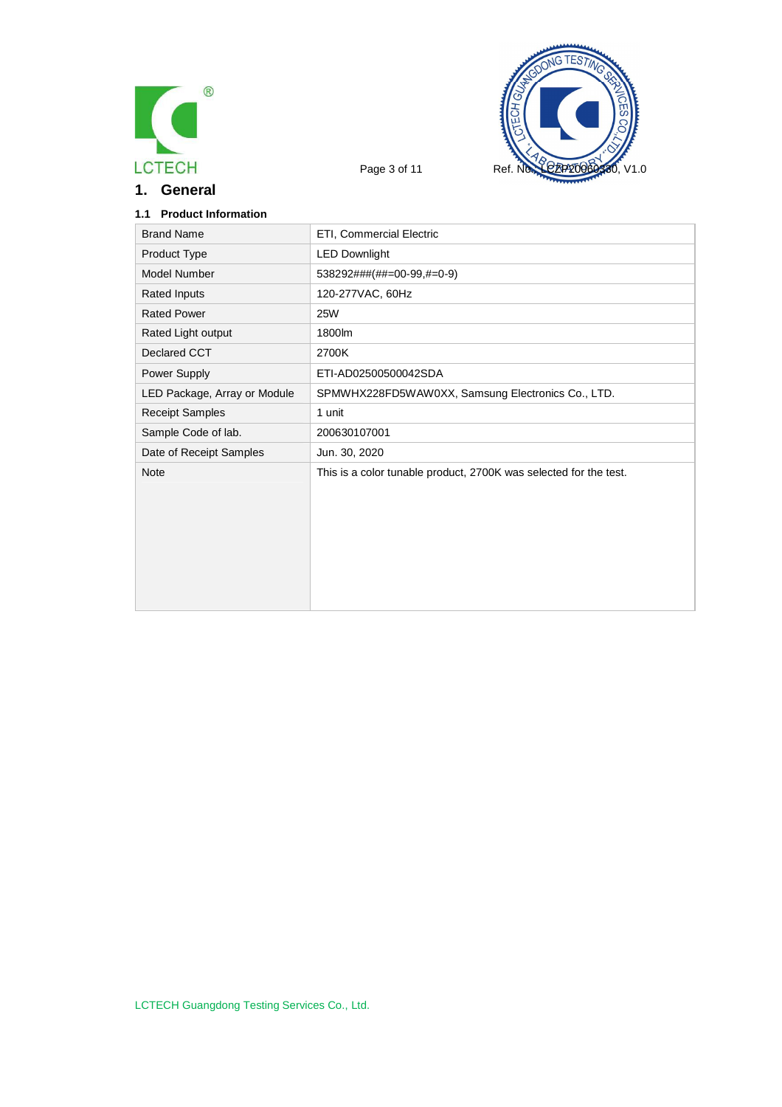

**1. General**



### **1.1 Product Information**

| <b>Brand Name</b>            | ETI, Commercial Electric                                          |
|------------------------------|-------------------------------------------------------------------|
| Product Type                 | <b>LED Downlight</b>                                              |
| Model Number                 | 538292###(##=00-99,#=0-9)                                         |
| Rated Inputs                 | 120-277VAC, 60Hz                                                  |
| <b>Rated Power</b>           | <b>25W</b>                                                        |
| Rated Light output           | 1800lm                                                            |
| Declared CCT                 | 2700K                                                             |
| Power Supply                 | ETI-AD02500500042SDA                                              |
| LED Package, Array or Module | SPMWHX228FD5WAW0XX, Samsung Electronics Co., LTD.                 |
| <b>Receipt Samples</b>       | 1 unit                                                            |
| Sample Code of lab.          | 200630107001                                                      |
| Date of Receipt Samples      | Jun. 30, 2020                                                     |
| <b>Note</b>                  | This is a color tunable product, 2700K was selected for the test. |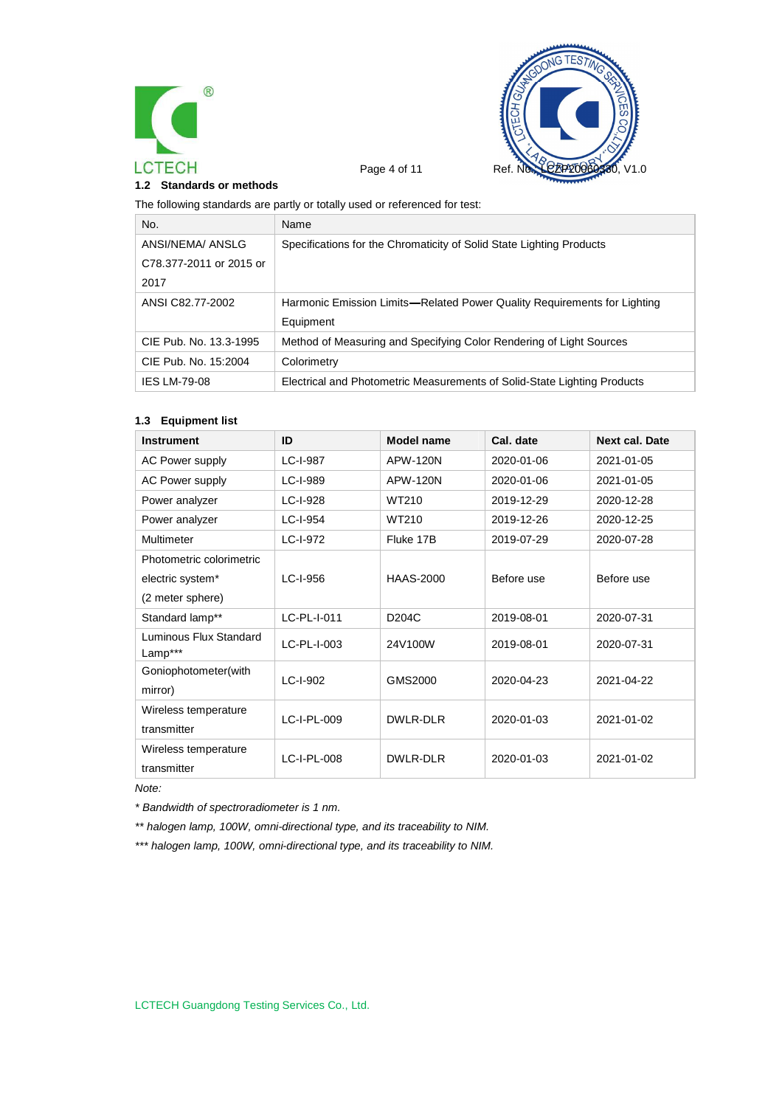



#### **1.2 Standards or methods**

The following standards are partly or totally used or referenced for test:

| No.                     | Name                                                                     |
|-------------------------|--------------------------------------------------------------------------|
| ANSI/NEMA/ ANSLG        | Specifications for the Chromaticity of Solid State Lighting Products     |
| C78.377-2011 or 2015 or |                                                                          |
| 2017                    |                                                                          |
| ANSI C82.77-2002        | Harmonic Emission Limits—Related Power Quality Requirements for Lighting |
|                         | Equipment                                                                |
| CIE Pub. No. 13.3-1995  | Method of Measuring and Specifying Color Rendering of Light Sources      |
| CIE Pub. No. 15:2004    | Colorimetry                                                              |
| <b>IES LM-79-08</b>     | Electrical and Photometric Measurements of Solid-State Lighting Products |

#### **1.3 Equipment list**

| <b>Instrument</b>                 | ID          | Model name         | Cal. date  | <b>Next cal. Date</b> |
|-----------------------------------|-------------|--------------------|------------|-----------------------|
| <b>AC Power supply</b>            | LC-I-987    | APW-120N           | 2020-01-06 | 2021-01-05            |
| <b>AC Power supply</b>            | LC-I-989    | APW-120N           | 2020-01-06 | 2021-01-05            |
| Power analyzer                    | LC-I-928    | WT210              | 2019-12-29 | 2020-12-28            |
| Power analyzer                    | LC-I-954    | WT210              | 2019-12-26 | 2020-12-25            |
| Multimeter                        | LC-I-972    | Fluke 17B          | 2019-07-29 | 2020-07-28            |
| Photometric colorimetric          |             |                    |            |                       |
| electric system*                  | LC-I-956    | <b>HAAS-2000</b>   | Before use | Before use            |
| (2 meter sphere)                  |             |                    |            |                       |
| Standard lamp**                   | LC-PL-I-011 | D <sub>204</sub> C | 2019-08-01 | 2020-07-31            |
| Luminous Flux Standard<br>Lamp*** | LC-PL-I-003 | 24V100W            | 2019-08-01 | 2020-07-31            |
| Goniophotometer(with              | LC-I-902    | GMS2000            | 2020-04-23 | 2021-04-22            |
| mirror)                           |             |                    |            |                       |
| Wireless temperature              | LC-I-PL-009 | DWLR-DLR           | 2020-01-03 | 2021-01-02            |
| transmitter                       |             |                    |            |                       |
| Wireless temperature              | LC-I-PL-008 | DWLR-DLR           | 2020-01-03 | 2021-01-02            |
| transmitter                       |             |                    |            |                       |

*Note:*

*\* Bandwidth of spectroradiometer is 1 nm.*

*\*\* halogen lamp, 100W, omni-directional type, and its traceability to NIM.*

*\*\*\* halogen lamp, 100W, omni-directional type, and its traceability to NIM.*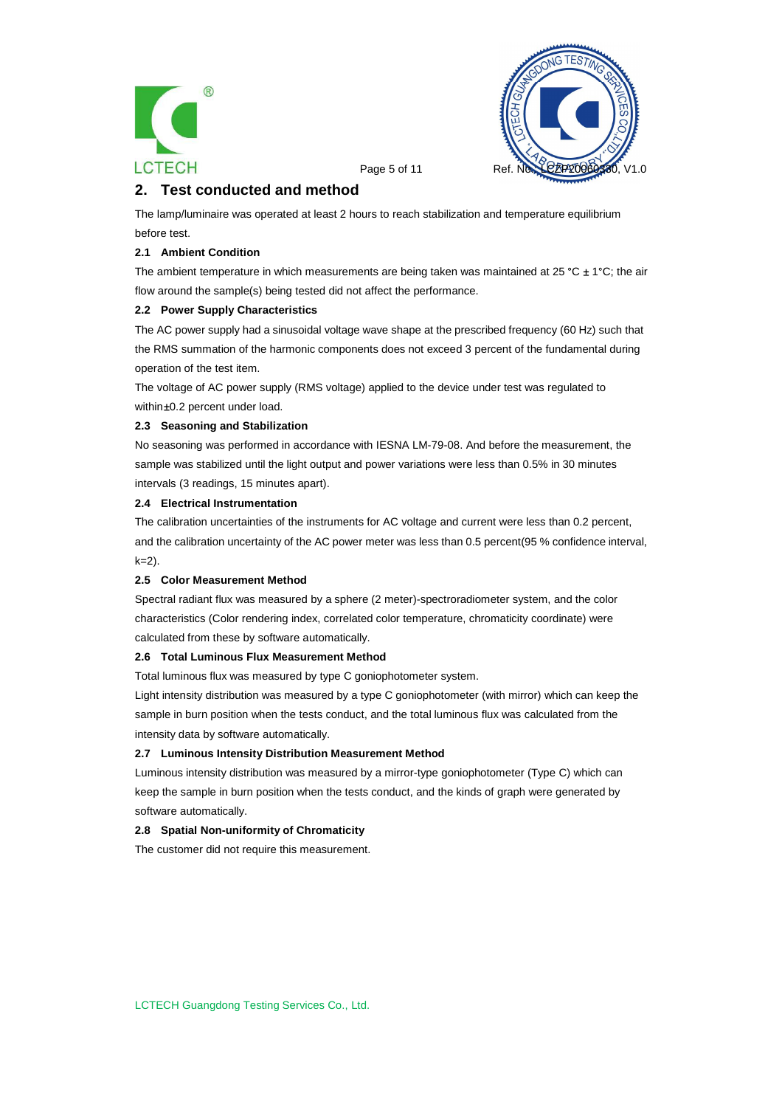



Page 5 of 11 Ref.

# **2. Test conducted and method**

The lamp/luminaire was operated at least 2 hours to reach stabilization and temperature equilibrium before test.

#### **2.1 Ambient Condition**

The ambient temperature in which measurements are being taken was maintained at 25 °C  $\pm$  1°C; the air flow around the sample(s) being tested did not affect the performance.

#### **2.2 Power Supply Characteristics**

The AC power supply had a sinusoidal voltage wave shape at the prescribed frequency (60 Hz) such that the RMS summation of the harmonic components does not exceed 3 percent of the fundamental during operation of the test item.

The voltage of AC power supply (RMS voltage) applied to the device under test was regulated to within ±0.2 percent under load.

#### **2.3 Seasoning and Stabilization**

No seasoning was performed in accordance with IESNA LM-79-08. And before the measurement, the sample was stabilized until the light output and power variations were less than 0.5% in 30 minutes intervals (3 readings, 15 minutes apart).

#### **2.4 Electrical Instrumentation**

The calibration uncertainties of the instruments for AC voltage and current were less than 0.2 percent, and the calibration uncertainty of the AC power meter was less than 0.5 percent(95 % confidence interval,  $k=2$ ).

#### **2.5 Color Measurement Method**

Spectral radiant flux was measured by a sphere (2 meter)-spectroradiometer system, and the color characteristics (Color rendering index, correlated color temperature, chromaticity coordinate) were calculated from these by software automatically.

#### **2.6 Total Luminous Flux Measurement Method**

Total luminous flux was measured by type C goniophotometer system.

Light intensity distribution was measured by a type C goniophotometer (with mirror) which can keep the sample in burn position when the tests conduct, and the total luminous flux was calculated from the intensity data by software automatically.

#### **2.7 Luminous Intensity Distribution Measurement Method**

Luminous intensity distribution was measured by a mirror-type goniophotometer (Type C) which can keep the sample in burn position when the tests conduct, and the kinds of graph were generated by software automatically.

#### **2.8 Spatial Non-uniformity of Chromaticity**

The customer did not require this measurement.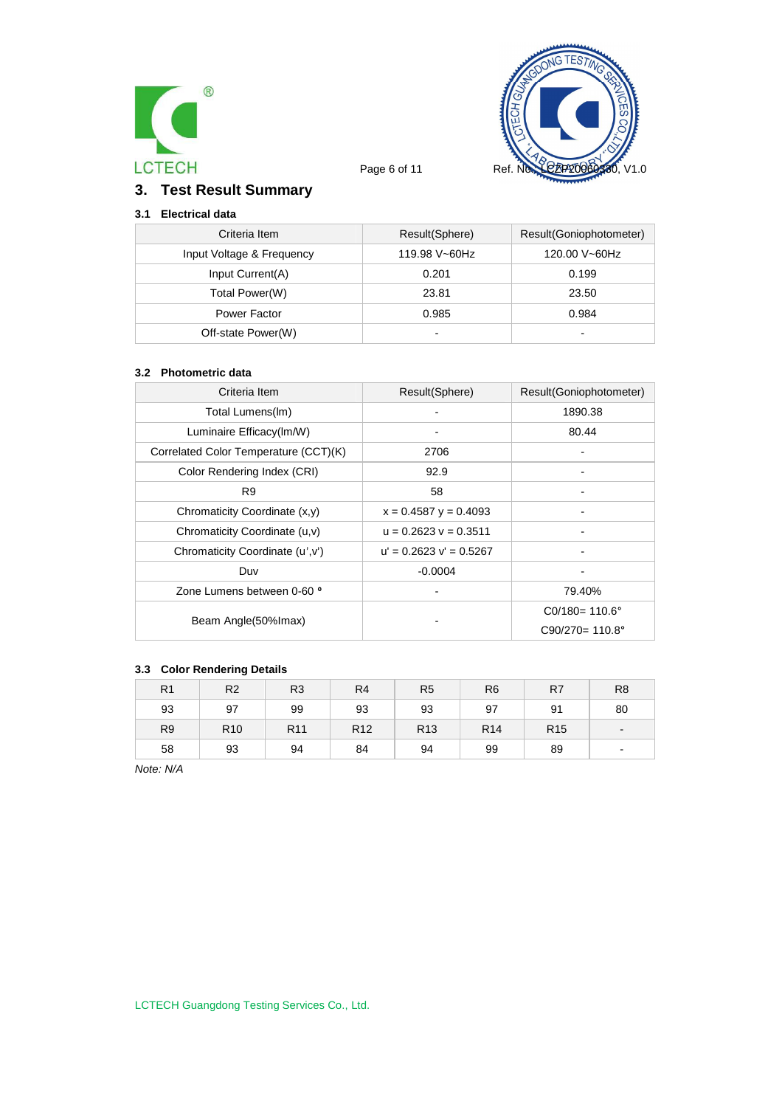



# **3. Test Result Summary**

# **3.1 Electrical data**

| Criteria Item             | Result(Sphere)           | Result(Goniophotometer)  |
|---------------------------|--------------------------|--------------------------|
| Input Voltage & Frequency | 119.98 V~60Hz            | 120.00 V~60Hz            |
| Input Current(A)          | 0.201                    | 0.199                    |
| Total Power(W)            | 23.81                    | 23.50                    |
| Power Factor              | 0.985                    | 0.984                    |
| Off-state Power(W)        | $\overline{\phantom{0}}$ | $\overline{\phantom{0}}$ |

#### **3.2 Photometric data**

| Criteria Item                         | Result(Sphere)              | Result(Goniophotometer)   |
|---------------------------------------|-----------------------------|---------------------------|
| Total Lumens(Im)                      |                             | 1890.38                   |
| Luminaire Efficacy(Im/W)              |                             | 80.44                     |
| Correlated Color Temperature (CCT)(K) | 2706                        |                           |
| Color Rendering Index (CRI)           | 92.9                        |                           |
| R <sub>9</sub>                        | 58                          |                           |
| Chromaticity Coordinate (x,y)         | $x = 0.4587$ y = 0.4093     |                           |
| Chromaticity Coordinate (u,v)         | $u = 0.2623$ $v = 0.3511$   |                           |
| Chromaticity Coordinate (u', v')      | $u' = 0.2623$ $v' = 0.5267$ |                           |
| Duv                                   | $-0.0004$                   |                           |
| Zone Lumens between 0-60 °            |                             | 79.40%                    |
|                                       |                             | $CO/180 = 110.6^{\circ}$  |
| Beam Angle(50%lmax)                   |                             | $C90/270 = 110.8^{\circ}$ |

### **3.3 Color Rendering Details**

| R <sub>1</sub> | R <sub>2</sub>  | R <sub>3</sub>  | R <sub>4</sub>  | R <sub>5</sub>  | R <sub>6</sub>  | R <sub>7</sub>  | R <sub>8</sub>           |
|----------------|-----------------|-----------------|-----------------|-----------------|-----------------|-----------------|--------------------------|
| 93             | 97              | 99              | 93              | 93              | 97              | 91              | 80                       |
| R <sub>9</sub> | R <sub>10</sub> | R <sub>11</sub> | R <sub>12</sub> | R <sub>13</sub> | R <sub>14</sub> | R <sub>15</sub> | $\blacksquare$           |
| 58             | 93              | 94              | 84              | 94              | 99              | 89              | $\overline{\phantom{a}}$ |

*Note: N/A*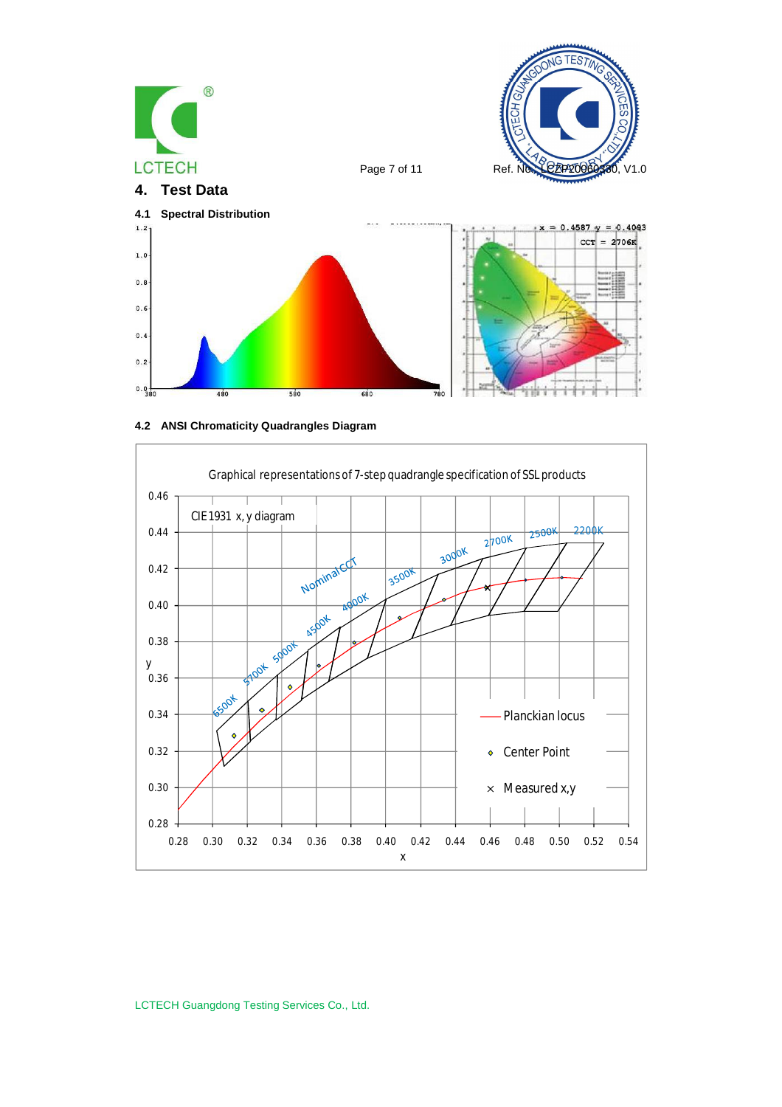





LCTECH Guangdong Testing Services Co., Ltd.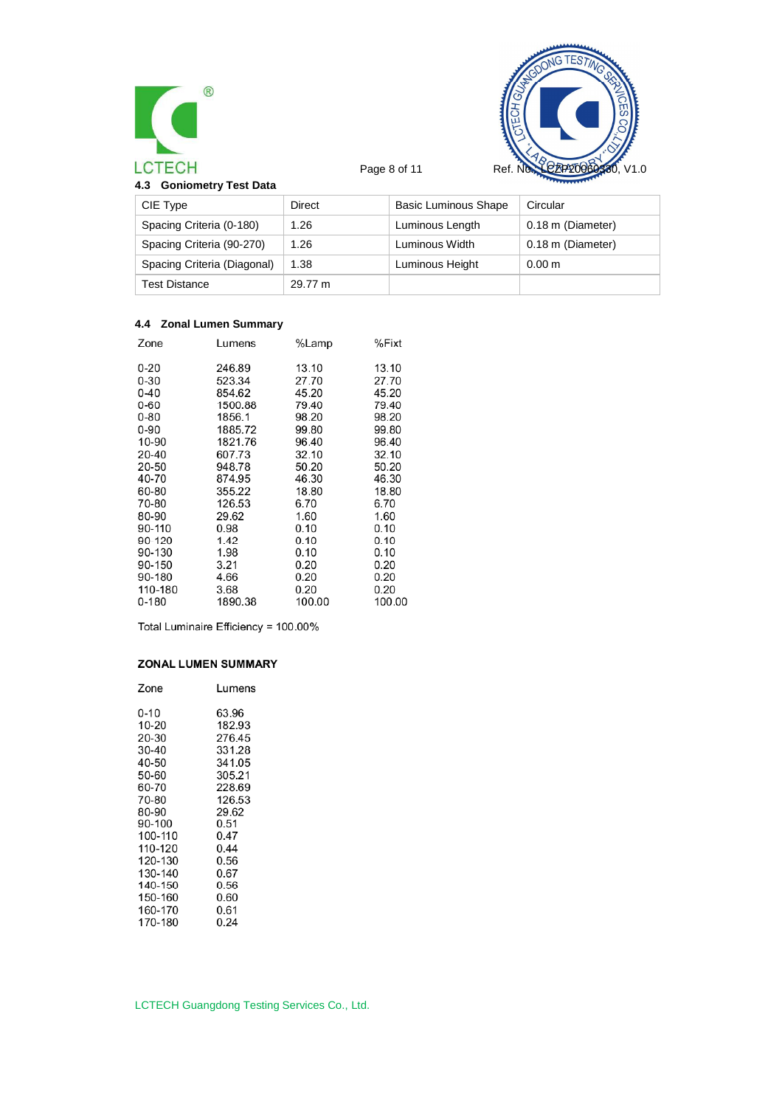



| 4.3 Goniometry Test Data |  |
|--------------------------|--|
|--------------------------|--|

| CIE Type                    | Direct  | <b>Basic Luminous Shape</b> | Circular          |
|-----------------------------|---------|-----------------------------|-------------------|
| Spacing Criteria (0-180)    | 1.26    | Luminous Length             | 0.18 m (Diameter) |
| Spacing Criteria (90-270)   | 1.26    | Luminous Width              | 0.18 m (Diameter) |
| Spacing Criteria (Diagonal) | 1.38    | Luminous Height             | 0.00 <sub>m</sub> |
| <b>Test Distance</b>        | 29.77 m |                             |                   |

# **4.4 Zonal Lumen Summary**

| Zone      | Lumens  | %Lamp  | %Fixt  |
|-----------|---------|--------|--------|
| 0-20      | 246.89  | 13.10  | 13.10  |
| $0 - 30$  | 523.34  | 27.70  | 27.70  |
| $0 - 40$  | 854.62  | 45.20  | 45.20  |
| $0 - 60$  | 1500.88 | 79.40  | 79.40  |
| 0-80      | 1856.1  | 98.20  | 98.20  |
| 0-90      | 1885.72 | 99.80  | 99.80  |
| 10-90     | 1821.76 | 96.40  | 96.40  |
| 20-40     | 607.73  | 32.10  | 32.10  |
| 20-50     | 948.78  | 50.20  | 50.20  |
| 40-70     | 874.95  | 46.30  | 46.30  |
| 60-80     | 355.22  | 18.80  | 18.80  |
| 70-80     | 126.53  | 6.70   | 6.70   |
| 80-90     | 29.62   | 1.60   | 1.60   |
| 90-110    | 0.98    | 0.10   | 0.10   |
| 90-120    | 1.42    | 0.10   | 0.10   |
| 90-130    | 1.98    | 0.10   | 0.10   |
| 90-150    | 3.21    | 0.20   | 0.20   |
| 90-180    | 4.66    | 0.20   | 0.20   |
| 110-180   | 3.68    | 0.20   | 0.20   |
| $0 - 180$ | 1890.38 | 100.00 | 100.00 |

Total Luminaire Efficiency = 100.00%

### ZONAL LUMEN SUMMARY

| Zone    | Lumens |
|---------|--------|
| 0-10    | 63.96  |
| 10-20   | 182.93 |
| 20-30   | 276.45 |
| 30-40   | 331.28 |
| 40-50   | 341.05 |
| 50-60   | 305.21 |
| 60-70   | 228.69 |
| 70-80   | 126.53 |
| 80-90   | 29.62  |
| 90-100  | 0.51   |
| 100-110 | 0.47   |
| 110-120 | 0.44   |
| 120-130 | 0.56   |
| 130-140 | 0.67   |
| 140-150 | 0.56   |
| 150-160 | 0.60   |
| 160-170 | 0.61   |
| 170-180 | 0.24   |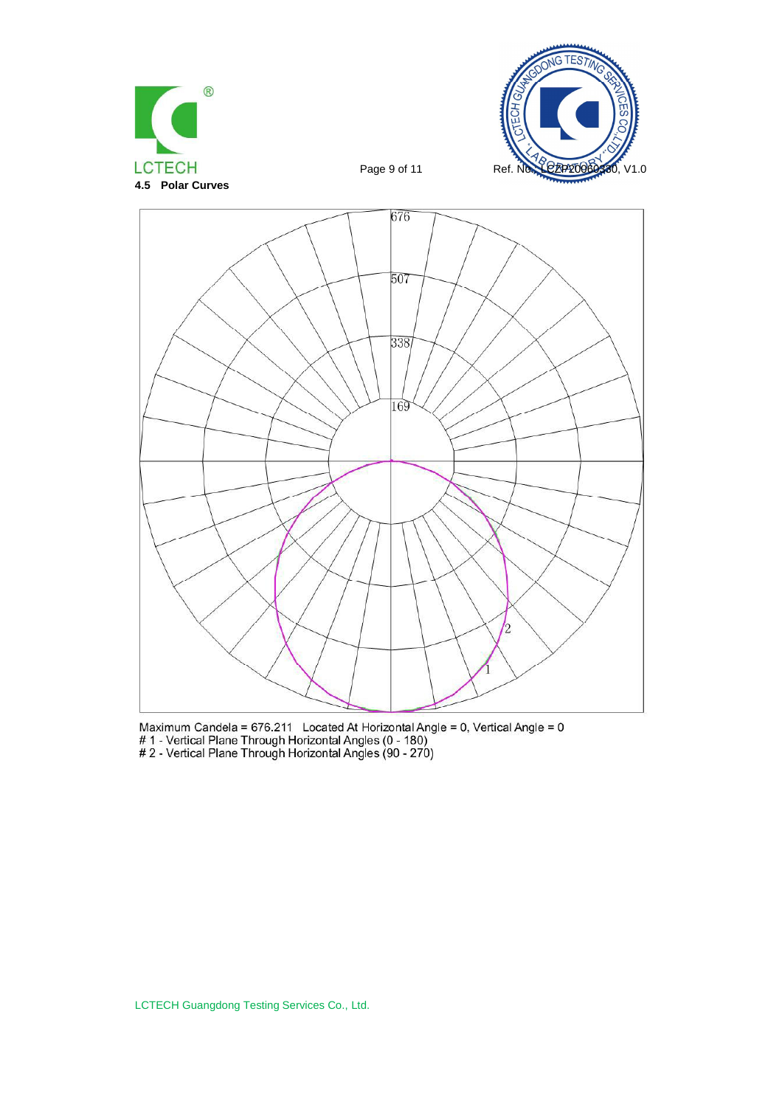





Maximum Candela = 676.211 Located At Horizontal Angle = 0, Vertical Angle = 0<br># 1 - Vertical Plane Through Horizontal Angles (0 - 180)<br># 2 - Vertical Plane Through Horizontal Angles (90 - 270)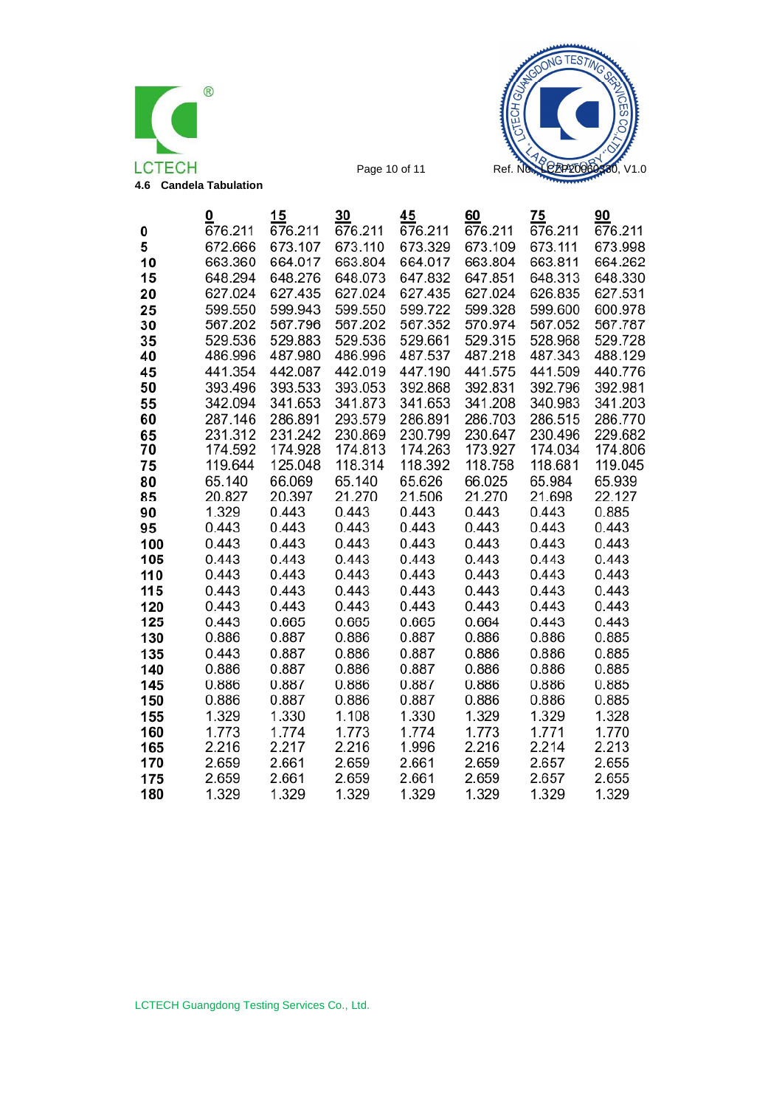



|     | 0       | 15      | 30      | 45      | 60      | 75      | 90      |
|-----|---------|---------|---------|---------|---------|---------|---------|
| 0   | 676.211 | 676.211 | 676.211 | 676.211 | 676.211 | 676.211 | 676.211 |
| 5   | 672.666 | 673.107 | 673.110 | 673.329 | 673.109 | 673.111 | 673.998 |
| 10  | 663.360 | 664.017 | 663.804 | 664.017 | 663.804 | 663.811 | 664.262 |
| 15  | 648.294 | 648.276 | 648.073 | 647.832 | 647.851 | 648.313 | 648.330 |
| 20  | 627.024 | 627.435 | 627.024 | 627.435 | 627.024 | 626.835 | 627.531 |
| 25  | 599.550 | 599.943 | 599.550 | 599.722 | 599.328 | 599.600 | 600.978 |
| 30  | 567.202 | 567.796 | 567.202 | 567.352 | 570.974 | 567.052 | 567.787 |
| 35  | 529.536 | 529.883 | 529.536 | 529.661 | 529.315 | 528.968 | 529.728 |
| 40  | 486.996 | 487.980 | 486.996 | 487.537 | 487.218 | 487.343 | 488.129 |
| 45  | 441.354 | 442.087 | 442.019 | 447.190 | 441.575 | 441.509 | 440.776 |
| 50  | 393.496 | 393.533 | 393.053 | 392.868 | 392.831 | 392.796 | 392.981 |
| 55  | 342.094 | 341.653 | 341.873 | 341.653 | 341.208 | 340.983 | 341.203 |
| 60  | 287.146 | 286.891 | 293.579 | 286.891 | 286.703 | 286.515 | 286.770 |
| 65  | 231.312 | 231.242 | 230.869 | 230.799 | 230.647 | 230.496 | 229.682 |
| 70  | 174.592 | 174.928 | 174.813 | 174.263 | 173.927 | 174.034 | 174.806 |
| 75  | 119.644 | 125.048 | 118.314 | 118.392 | 118.758 | 118.681 | 119.045 |
| 80  | 65.140  | 66.069  | 65.140  | 65.626  | 66.025  | 65.984  | 65.939  |
| 85  | 20.827  | 20.397  | 21.270  | 21.506  | 21.270  | 21.698  | 22.127  |
| 90  | 1.329   | 0.443   | 0.443   | 0.443   | 0.443   | 0.443   | 0.885   |
| 95  | 0.443   | 0.443   | 0.443   | 0.443   | 0.443   | 0.443   | 0.443   |
| 100 | 0.443   | 0.443   | 0.443   | 0.443   | 0.443   | 0.443   | 0.443   |
| 105 | 0.443   | 0.443   | 0.443   | 0.443   | 0.443   | 0.443   | 0.443   |
| 110 | 0.443   | 0.443   | 0.443   | 0.443   | 0.443   | 0.443   | 0.443   |
| 115 | 0.443   | 0.443   | 0.443   | 0.443   | 0.443   | 0.443   | 0.443   |
| 120 | 0.443   | 0.443   | 0.443   | 0.443   | 0.443   | 0.443   | 0.443   |
| 125 | 0.443   | 0.665   | 0.665   | 0.665   | 0.664   | 0.443   | 0.443   |
| 130 | 0.886   | 0.887   | 0.886   | 0.887   | 0.886   | 0.886   | 0.885   |
| 135 | 0.443   | 0.887   | 0.886   | 0.887   | 0.886   | 0.886   | 0.885   |
| 140 | 0.886   | 0.887   | 0.886   | 0.887   | 0.886   | 0.886   | 0.885   |
| 145 | 0.886   | 0.887   | 0.886   | 0.887   | 0.886   | 0.886   | 0.885   |
| 150 | 0.886   | 0.887   | 0.886   | 0.887   | 0.886   | 0.886   | 0.885   |
| 155 | 1.329   | 1.330   | 1.108   | 1.330   | 1.329   | 1.329   | 1.328   |
| 160 | 1.773   | 1.774   | 1.773   | 1.774   | 1.773   | 1.771   | 1.770   |
| 165 | 2.216   | 2.217   | 2.216   | 1.996   | 2.216   | 2.214   | 2.213   |
| 170 | 2.659   | 2.661   | 2.659   | 2.661   | 2.659   | 2.657   | 2.655   |
| 175 | 2.659   | 2.661   | 2.659   | 2.661   | 2.659   | 2.657   | 2.655   |
| 180 | 1.329   | 1.329   | 1.329   | 1.329   | 1.329   | 1.329   | 1.329   |